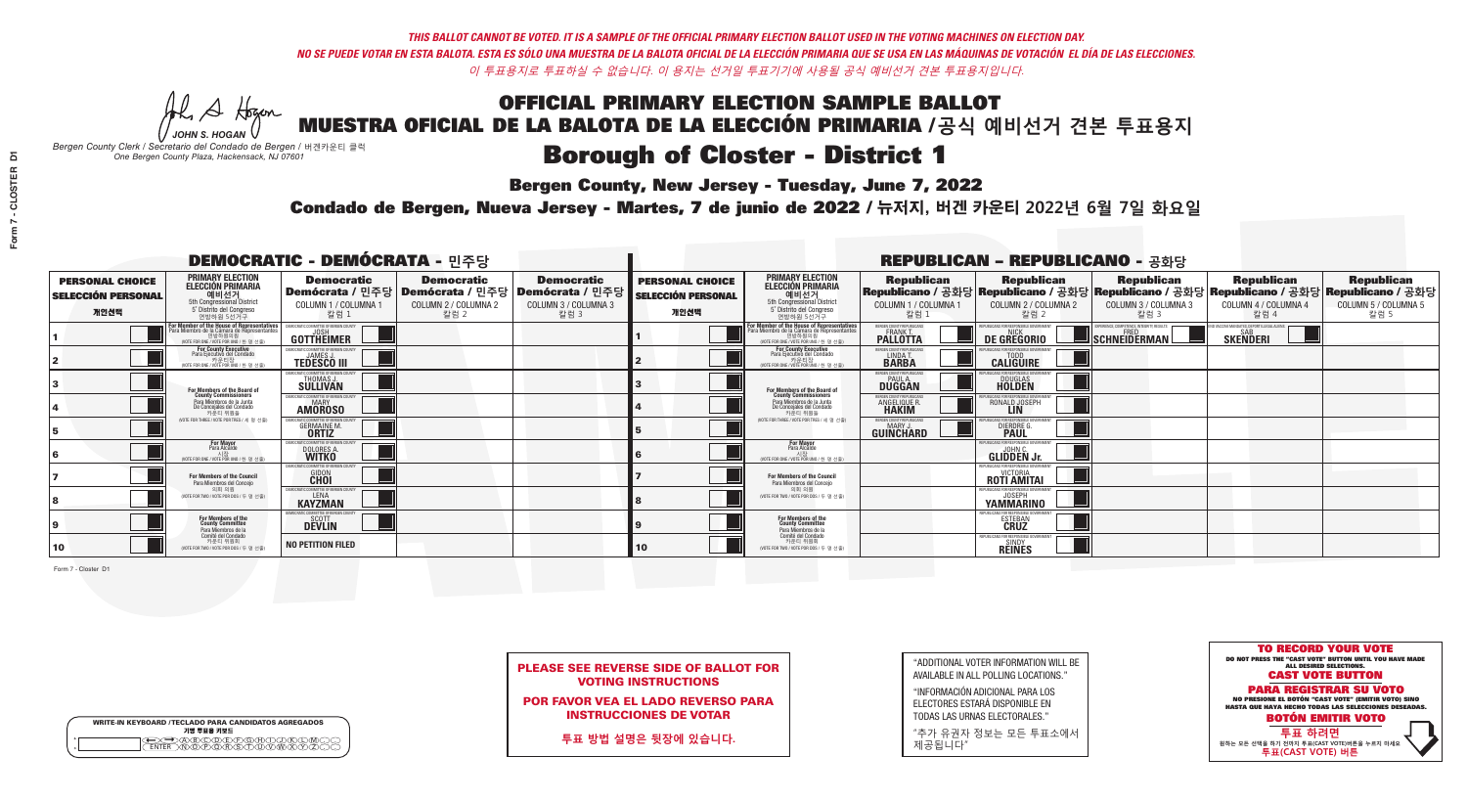A Hogen

**Bergen County, New Jersey - Tuesday, June 7, 2022** 

| <b>WRITE-IN KEYBOARD /TECLADO PARA CANDIDATOS AGREGADOS</b><br>기명 투표용 키보드 |  |
|---------------------------------------------------------------------------|--|
| )@®©®®®®®®©®®<br>`\N\@®@@R\$\T\@\W\X                                      |  |

*JOHN S. HOGAN Bergen County Clerk / Secretario del Condado de Bergen /* 버겐카운티 클럭 *One Bergen County Plaza, Hackensack, NJ 07601*



PLEASE SEE REVERSE SIDE OF BALLOT FOR VOTING INSTRUCTIONS

POR FAVOR VEA EL LADO REVERSO PARA INSTRUCCIONES DE VOTAR

**투표 방법 설명은 뒷장에 있습니다.**

| "ADDITIONAL VOTER INFORMATION WILL BE |
|---------------------------------------|
| AVAILABLE IN ALL POLLING LOCATIONS."  |

"INFORMACIÓN ADICIONAL PARA LOS ELECTORES ESTARÁ DISPONIBLE EN TODAS LAS URNAS ELECTORALES."

"추가 유권자 정보는 모든 투표소에서 제공됩니다"

Condado de Bergen, Nueva Jersey - Martes, 7 de junio de 2022 / 뉴저지, 버겐 카운티 2022년 6월 7일 화요일 *One Bergen County Plaza, Hackensack, NJ 07601*

|                                                             |                                                                                                                                               | <b>DEMOCRATIC - DEMÓCRATA - 민주당</b>                                                |                                                   |                                                                                                        |                                                             |                                                                                                                                              |                                                   | <b>REPUBLICAN - REPUBLICANO - 공화당</b>                                                                                                          |                                                          |                                                             |                                                   |
|-------------------------------------------------------------|-----------------------------------------------------------------------------------------------------------------------------------------------|------------------------------------------------------------------------------------|---------------------------------------------------|--------------------------------------------------------------------------------------------------------|-------------------------------------------------------------|----------------------------------------------------------------------------------------------------------------------------------------------|---------------------------------------------------|------------------------------------------------------------------------------------------------------------------------------------------------|----------------------------------------------------------|-------------------------------------------------------------|---------------------------------------------------|
| <b>PERSONAL CHOICE</b><br><b>SELECCIÓN PERSONAL</b><br>개인선택 | <b>PRIMARY ELECTION</b><br><b>ELECCIÓN PRIMARIA</b><br>예비선거<br><sup>5th</sup> Congressional District<br>5° Distrito del Congreso<br>연방하원 5선거구 | <b>Democratic</b><br>COLUMN 1 / COLUMNA 1<br>칼럼 1                                  | <b>Democratic</b><br>COLUMN 2 / COLUMNA 2<br>칼럼 2 | <b>Democratic</b><br>│Demócrata / 민주당│Demócrata / 민주당│Demócrata / 민주당│<br>COLUMN 3 / COLUMNA 3<br>칼럼 3 | <b>PERSONAL CHOICE</b><br><b>SELECCIÓN PERSONAL</b><br>개인선택 | <b>PRIMARY ELECTION</b><br><b>ELECCIÓN PRIMARIA</b><br>예비선거<br>5th Congressional District<br>5° Distrito del Congreso<br>연방하원 5선거구           | <b>Republican</b><br>COLUMN 1 / COLUMNA 1<br>칼럼 1 | <b>Republican</b><br>Republicano / 공화당 Republicano / 공화당 Republicano / 공화당 Republicano / 공화당 Republicano / 공화당<br>COLUMN 2 / COLUMNA 2<br>칼럼 2 | <b>Republican</b><br>COLUMN 3 / COLUMNA 3<br>칼럼 3        | <b>Republican</b><br>COLUMN 4 / COLUMNA 4<br>칼럼 4           | <b>Republican</b><br>COLUMN 5 / COLUMNA 5<br>칼럼 5 |
|                                                             | For Member of the House of Representatives<br>Para Miembro de la Cámara de Representantes<br>연방하원의원<br>(VOTE FOR ONE / VOTE POR UNO / 한 명 선출) | COMMITTEE OF BERGEN COUN<br>GOTTHEIMER                                             |                                                   |                                                                                                        |                                                             | For Member of the House of Representatives<br>Para Miembro de la Cámara de Representantes<br>연방하원의원<br>(VOTE FOR ONE / VOTE POR UNO / 한 명 선출 | BERGEN COUNTY REPUBLICANS<br><b>PALLOTTA</b>      | DE GREGORIO                                                                                                                                    | PERIENCE, COMPETENCE, INTEGRITY, RESULTS<br>SCHNEIDERMAN | VACCINE MANDATES. DEPORT ILLEGAL ALIENS.<br><b>SKENDERI</b> |                                                   |
|                                                             | For County Executive<br>Para Ejecutivo del Condado<br>가운티장<br>(VOTE FOR ONE / VOTE POR UNO / 한 명 선출)                                          | DEMOCRATIC COMMITTEE OF BERGEN COUNTY<br><b>TEDESCO III</b>                        |                                                   |                                                                                                        |                                                             | For County Executive<br>Para Ejecutivo del Condado<br>│ 카운티장<br>(VOTE FOR ONE / VOTE POR UNO / 한 명 선출)                                       | BERGEN COUNTY REPUBLICAN<br>LINDA T.              | <b>CALIGUIRE</b>                                                                                                                               |                                                          |                                                             |                                                   |
|                                                             | <b>For Members of the Board of<br/>County Commissioners</b>                                                                                   | <b>EMOCRATIC COMMITTEE OF BERGEN COUNTY</b><br><b>THOMAS J.</b><br><b>SULLIVAN</b> |                                                   |                                                                                                        |                                                             | For Members of the Board of<br>County Commissioners                                                                                          | BERGEN COUNTY REPUBLICAN<br>PAUL A.<br>DUGGAN     | DOUGLAS<br>HOLDEN                                                                                                                              |                                                          |                                                             |                                                   |
|                                                             | Para Miembros de la Junta<br>De Concejales del Condado<br>카우티 위원들                                                                             | <b>OCRATIC COMMITTEE OF BERGEN COUNT</b><br><b>MARY</b><br><b>AMOROSO</b>          |                                                   |                                                                                                        |                                                             | Para Miembros de la Junta<br>De Concejales del Condado<br>카우티 위워들                                                                            | <b>ERGEN COUNTY REPUBLICAN</b><br>ANGELIQUE R.    | RONALD JOSEPH<br><b>LIN</b>                                                                                                                    |                                                          |                                                             |                                                   |
|                                                             | NOTE FOR THREE / VOTE POR TRES / 세 명 선출)                                                                                                      | <b>GERMAINE M.</b><br><b>ORTIZ</b>                                                 |                                                   |                                                                                                        |                                                             | NOTE FOR THREE / VOTE POR TRES / 세 명 선출                                                                                                      | ERGEN COUNTY REPUBLICAN<br>MARY.<br>GUIÑCHARD     | DIERDRE G                                                                                                                                      |                                                          |                                                             |                                                   |
|                                                             | <b>For Mayor</b><br>Para Alcalde                                                                                                              | MOCRATIC COMMITTEE OF BERGEN COUNT<br>DOLORES A                                    |                                                   |                                                                                                        |                                                             | <b>For Mayor</b><br>Para Alcalde<br>(VOTE FOR ONE / VOTE POR UNO / 한 명 선출)                                                                   |                                                   | PHRHCANS FOR RESPONSIBLE GOVERNMEN<br><b>GLIDDEN Jr.</b>                                                                                       |                                                          |                                                             |                                                   |
|                                                             | For Members of the Council<br>Para Miembros del Conceio                                                                                       | MOCRATIC COMMITTEE OF BERGEN COUNTY<br><b>GIDON</b>                                |                                                   |                                                                                                        |                                                             | <b>For Members of the Council</b><br>Para Miembros del Concejo                                                                               |                                                   | EPUBLICANS FOR RESPONSIBLE GOVERNMENT<br>ROTI AMITAI                                                                                           |                                                          |                                                             |                                                   |
|                                                             | 의회 의원<br>(VOTE FOR TWO / VOTE POR DOS / 두 명 선출)                                                                                               | MOCRATIC COMMITTEE OF BERGEN COUNTY<br><b>KAYZMAN</b>                              |                                                   |                                                                                                        |                                                             | 의회 의원<br>WOTE FOR TWO / VOTE POR DOS / 두 명 선출)                                                                                               |                                                   | EPHRI ICANS EDR RESPONSIBLE G<br><b>YAMMARINO</b>                                                                                              |                                                          |                                                             |                                                   |
|                                                             | For Members of the<br>County Committee<br>Para Miembros de la                                                                                 | <b>DEVLIN</b>                                                                      |                                                   |                                                                                                        |                                                             | For Members of the<br>County Committee<br>Para Miembros de la<br>Comité del Condado                                                          |                                                   | EPUBLICANS FOR RESPONSIBLE G<br><b>ESTEBAN</b>                                                                                                 |                                                          |                                                             |                                                   |
| 10                                                          | Comité del Condado<br>카운티 위원회<br>(VOTE FOR TWO / VOTE POR DOS / 두 명 선출)                                                                       | <b>NO PETITION FILED</b>                                                           |                                                   |                                                                                                        | 10                                                          | 카운티 위원회<br>(VOTE FOR TWO / VOTE POR DOS / 두 명 선출)                                                                                            |                                                   | EPUBLICANS FOR RESPONSIBLE GOVERNMI<br><b>SINDY</b><br><b>REINES</b>                                                                           |                                                          |                                                             |                                                   |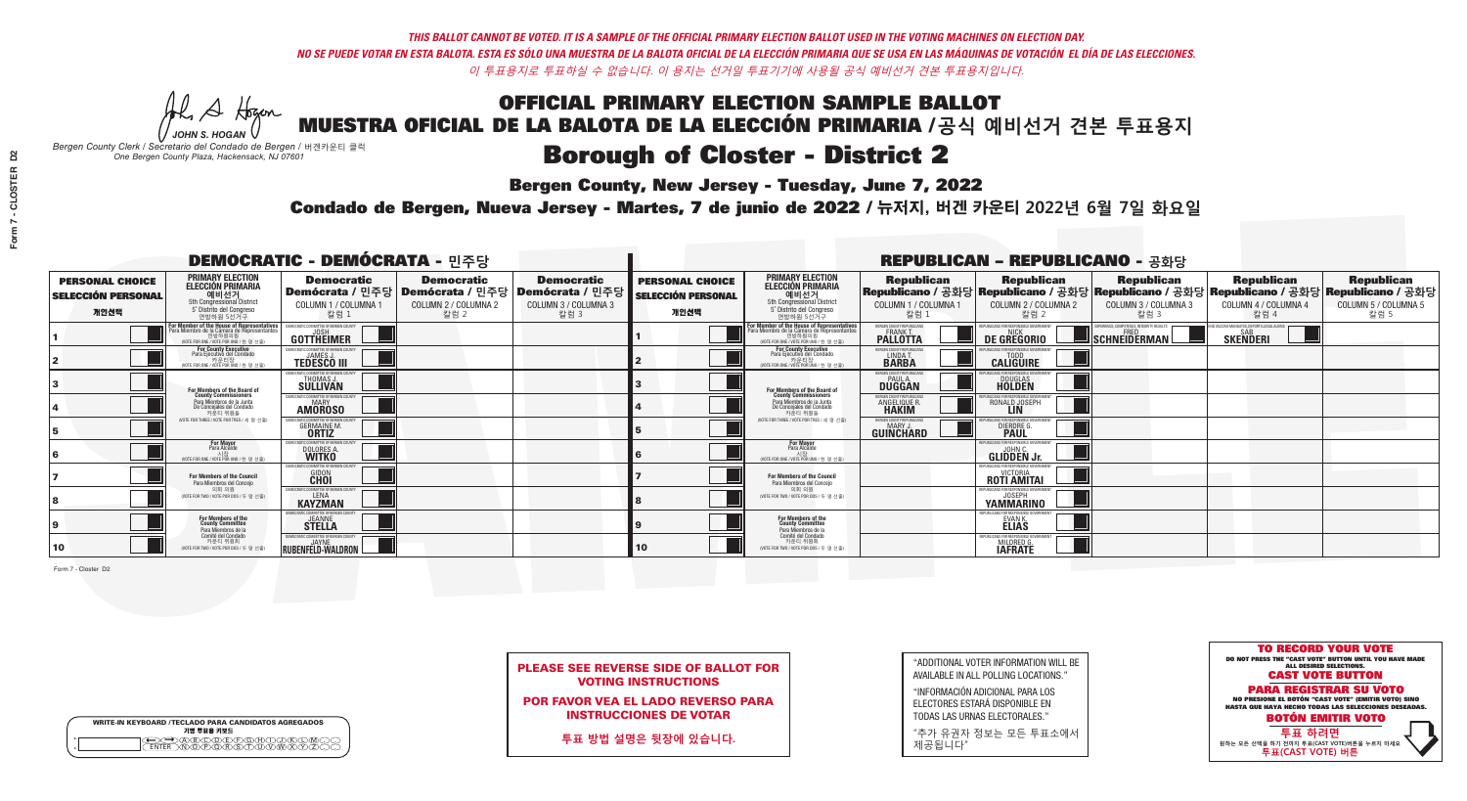**Bergen County, New Jersey - Tuesday, June 7, 2022** 

A Hogan *JOHN S. HOGAN*

| <b>WRITE-IN KEYBOARD /TECLADO PARA CANDIDATOS AGREGADOS</b><br>기명 투표용 키보드 |
|---------------------------------------------------------------------------|
| )B)C)D)E)F)G)AND<br>እጅአል አል                                               |

*Bergen County Clerk / Secretario del Condado de Bergen /* 버겐카운티 클럭 *One Bergen County Plaza, Hackensack, NJ 07601*



| <b>PLEASE SEE REVERSE SIDE OF BALLOT FOR</b> |
|----------------------------------------------|
| <b>VOTING INSTRUCTIONS</b>                   |

POR FAVOR VEA EL LADO REVERSO PARA INSTRUCCIONES DE VOTAR

**투표 방법 설명은 뒷장에 있습니다.**

| "ADDITIONAL VOTER INFORMATION WILL BE |
|---------------------------------------|
| AVAILABLE IN ALL POLLING LOCATIONS."  |

"INFORMACIÓN ADICIONAL PARA LOS ELECTORES ESTARÁ DISPONIBLE EN TODAS LAS URNAS ELECTORALES."

"추가 유권자 정보는 모든 투표소에서 제공됩니다"

Condado de Bergen, Nueva Jersey - Martes, 7 de junio de 2022 / 뉴저지, 버겐 카운티 2022년 6월 7일 화요일 *One Bergen County Plaza, Hackensack, NJ 07601*

|                                                             |                                                                                                                                             | <b>DEMOCRATIC - DEMÓCRATA - 민주당</b>                                                                    |                                                   |                                                   |                                                             |                                                                                                                                            |                                                            | <b>REPUBLICAN - REPUBLICANO - 공화당</b>                   |                                                                                                                                                |                                                   |                                                   |
|-------------------------------------------------------------|---------------------------------------------------------------------------------------------------------------------------------------------|--------------------------------------------------------------------------------------------------------|---------------------------------------------------|---------------------------------------------------|-------------------------------------------------------------|--------------------------------------------------------------------------------------------------------------------------------------------|------------------------------------------------------------|---------------------------------------------------------|------------------------------------------------------------------------------------------------------------------------------------------------|---------------------------------------------------|---------------------------------------------------|
| <b>PERSONAL CHOICE</b><br><b>SELECCIÓN PERSONAL</b><br>개인선택 | <b>PRIMARY ELECTION</b><br><b>ELECCIÓN PRIMARIA</b><br>예비선거<br>5th Congressional District<br>5° Distrito del Congreso<br>연방하원 5선거구          | <b>Democratic</b><br>│Demócrata / 민주당│Demócrata / 민주당│Demócrata / 민주당│<br>COLUMN 1 / COLUMNA 1<br>칼럼 1 | <b>Democratic</b><br>COLUMN 2 / COLUMNA 2<br>칼럼 2 | <b>Democratic</b><br>COLUMN 3 / COLUMNA 3<br>칼럼 3 | <b>PERSONAL CHOICE</b><br><b>SELECCIÓN PERSONAL</b><br>개인선택 | <b>PRIMARY ELECTION</b><br>ELECCIÓN PRIMARIA<br>5th Congressional District<br>5° Distrito del Congreso<br>연방하원 5선거구                        | <b>Republican</b><br>COLUMN 1 / COLUMNA 1<br>칼럼            | <b>Republican</b><br>COLUMN 2 / COLUMNA 2<br>칼럼 2       | <b>Republican</b><br>Republicano / 공화당 Republicano / 공화당 Republicano / 공화당 Republicano / 공화당 Republicano / 공화당<br>COLUMN 3 / COLUMNA 3<br>칼럼 3 | <b>Republican</b><br>COLUMN 4 / COLUMNA 4<br>칼럼 4 | <b>Republican</b><br>COLUMN 5 / COLUMNA 5<br>칼럼 5 |
|                                                             | or Member of the House of Representatives<br>ara Miembro de la Cámara de Representantes<br>연방하원의원<br>(VOTE FOR ONE / VOTE POR UNO / 한 명 선출) | GOTTHEIMER                                                                                             |                                                   |                                                   |                                                             | For Member of the House of Representative<br>Para Miembro de la Cámara de Representante<br>연방하원의원<br>(VOTE FOR ONE / VOTE POR UNO / 한 명 선출 | ERGEN COUNTY REPUBLICANS<br><b>PALLOTTA</b>                | DE GREGORIO                                             | (PERIENCE, COMPETENCE, INTEGRITY, RESULTS<br>SCHNEIDERMAN                                                                                      | <b>SKENDERI</b>                                   |                                                   |
|                                                             | <b>For County Executive</b><br>Para Ejecutivo del Condado<br>카운티장<br>(VOTE FOR ONE / VOTE POR UNO / 한 명 선출)                                 | EMOCRATIC COMMITTEE OF BERGEN COUNTY<br><b>TEDESCO III</b>                                             |                                                   |                                                   |                                                             | <b>For County Executive</b><br>Para Ejecutivo del Condado<br>기준디싱<br>(VOTE FOR ONE / VOTE POR UNO / 한 명 선출                                 | BERGEN COUNTY REPUBLICAN<br>LINDA T.                       | <b>CALIGUIRE</b>                                        |                                                                                                                                                |                                                   |                                                   |
|                                                             | For Members of the Board of<br>County Commissioners                                                                                         | MOCRATIC COMMITTEE OF BERGEN COUN'<br>THOMAS J.                                                        |                                                   |                                                   |                                                             | For Members of the Board of<br>County Commissioners                                                                                        | ERGEN COUNTY REPUBLICAN<br><b>PAUL A.</b><br><b>DUGGAN</b> | <b>DOUGLAS</b>                                          |                                                                                                                                                |                                                   |                                                   |
|                                                             | Para Miembros de la Junta<br>De Concejales del Condado<br>카우티 위원들                                                                           | MOCRATIC COMMITTEE OF BERGEN COUN'<br><b>AMOROSO</b>                                                   |                                                   |                                                   |                                                             | Para Miembros de la Junta<br>De Concejales del Condado<br>카우티 위원들                                                                          | ERGEN COUNTY REPUBLICAN<br>ANGELIQUE R                     | RONALD JOSEPH                                           |                                                                                                                                                |                                                   |                                                   |
|                                                             | NOTE FOR THREE / VOTE POR TRES / 세 명 선출)                                                                                                    | RATIC COMMITTEE OF RERGEN COUL<br><b>GERMAINE M.</b>                                                   |                                                   |                                                   |                                                             | (VOTE FOR THREE / VOTE POR TRES / 세 명 선출)                                                                                                  | ERGEN COUNTY REPUBLICANS<br>GUINCHARD                      | BLICANS FOR RESPONSIBLE (<br>DIERDRE G                  |                                                                                                                                                |                                                   |                                                   |
|                                                             | <b>For Mayor</b><br>Para Alcalde<br>NOTE FOR ONE / VOTE POR UNO / 한 명 /                                                                     | MOCRATIC COMMITTEE OF BERGEN C<br>DOLORES A                                                            |                                                   |                                                   |                                                             | <b>For Mayor</b><br>Para Alcalde<br>(VOTE FOR ONE / VOTE POR UNO / 한 명 선출)                                                                 |                                                            | PHRI ICANS ENR RESPONSIRI E G<br><b>GLIDDEN Jr.</b>     |                                                                                                                                                |                                                   |                                                   |
|                                                             | For Members of the Council<br>Para Miembros del Conceio                                                                                     | <b>OCRATIC COMMITTEE OF BERGEN COUNT</b><br><b>GIDON</b>                                               |                                                   |                                                   |                                                             | <b>For Members of the Council</b><br>Para Miembros del Conceio                                                                             |                                                            | PUBLICANS FOR RESPONSIBLE GO<br><b>ROTI AMITAL</b>      |                                                                                                                                                |                                                   |                                                   |
|                                                             | 의회 의원<br>(VOTE FOR TWO / VOTE POR DOS / 두 명 선출)                                                                                             | EMOCRATIC COMMITTEE OF BERGEN COUNT<br><b>KAYZMAN</b>                                                  |                                                   |                                                   |                                                             | 의회 의원<br>NOTE FOR TWO / VOTE POR DOS / 두 명 선출)                                                                                             |                                                            | PUBLICANS FOR RESPONSIBLE GOVERNME.<br><b>YAMMARINO</b> |                                                                                                                                                |                                                   |                                                   |
|                                                             | For Members of the<br>County Committee<br>Para Miembros de la                                                                               | MOCRATIC COMMITTEE OF BERGEN COUN<br><b>STELLA</b>                                                     |                                                   |                                                   |                                                             | For Members of the<br>County Committee<br>Para Miembros de la<br>Comité del Condado                                                        |                                                            | PUBLICANS FOR RESPONSIBLE GOVERNM!<br>EVAN K.           |                                                                                                                                                |                                                   |                                                   |
| 10                                                          | Comité del Condado<br>카운티 위원회<br>(VOTE FOR TWO / VOTE POR DOS / 두 명 선출)                                                                     | EMOCRATIC COMMITTEE OF BERGEN COUNTY<br><b>RUBENFELD-WALDRON</b>                                       |                                                   |                                                   | 10                                                          | 카운티 위원회<br>(VOTE FOR TWO / VOTE POR DOS / 두 명 선출)                                                                                          |                                                            | PUBLICANS FOR RESPONSIBLE GOVERNMEN<br>MILDRED G.       |                                                                                                                                                |                                                   |                                                   |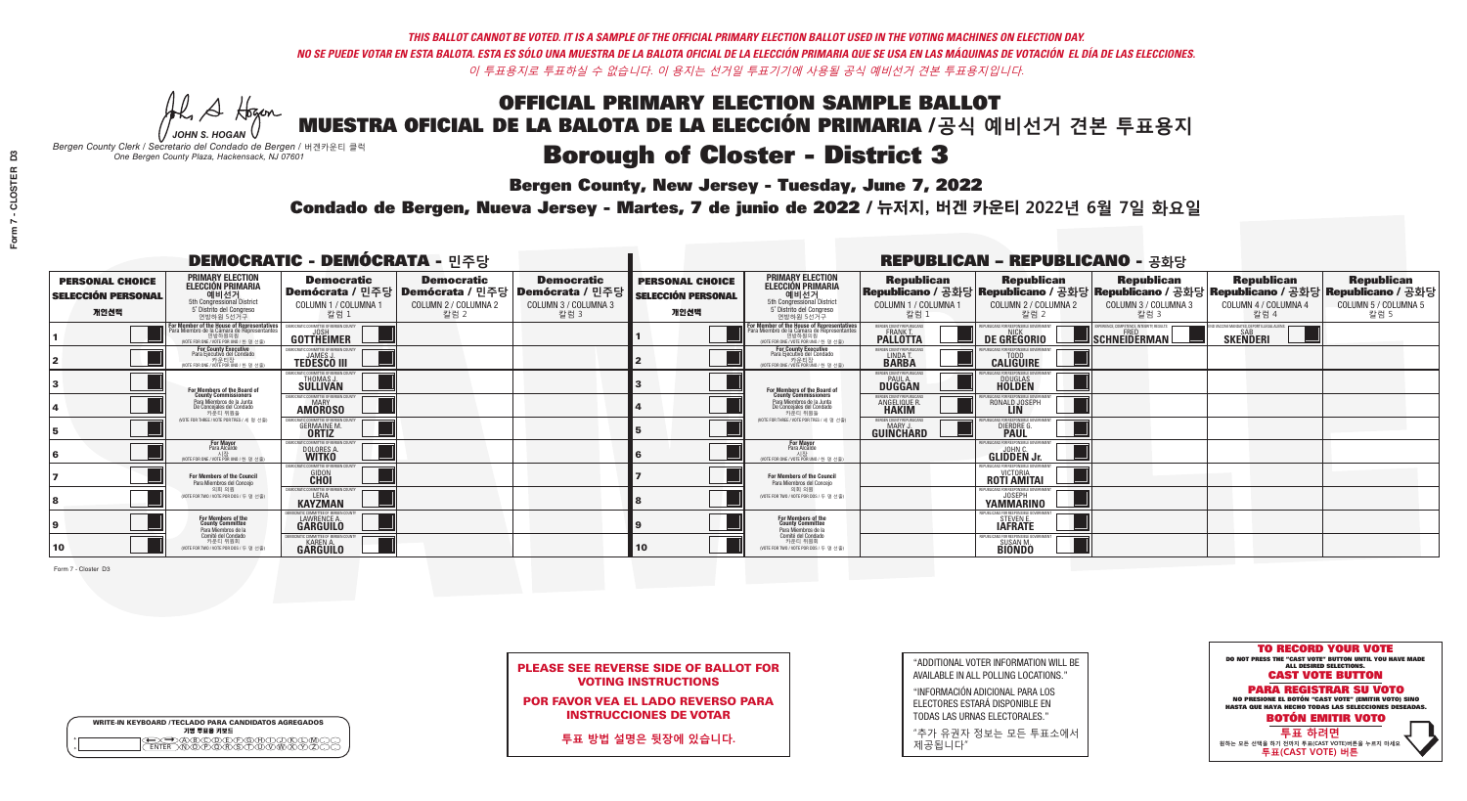**Bergen County, New Jersey - Tuesday, June 7, 2022** 

A Hogan *JOHN S. HOGAN*

| <b>WRITE-IN KEYBOARD /TECLADO PARA CANDIDATOS AGREGADOS</b><br>기명 투표용 키보드 |  |
|---------------------------------------------------------------------------|--|
| )(B)(C)(D)(E)(F)(G)(H)(<br><u>አቅአሚያ ፈ</u> ን                               |  |

*Bergen County Clerk / Secretario del Condado de Bergen /* 버겐카운티 클럭 *One Bergen County Plaza, Hackensack, NJ 07601*



PLEASE SEE REVERSE SIDE OF BALLOT FOR VOTING INSTRUCTIONS

POR FAVOR VEA EL LADO REVERSO PARA INSTRUCCIONES DE VOTAR

**투표 방법 설명은 뒷장에 있습니다.**

| "ADDITIONAL VOTER INFORMATION WILL BE |
|---------------------------------------|
| AVAILABLE IN ALL POLLING LOCATIONS."  |

"INFORMACIÓN ADICIONAL PARA LOS ELECTORES ESTARÁ DISPONIBLE EN TODAS LAS URNAS ELECTORALES."

"추가 유권자 정보는 모든 투표소에서 제공됩니다"

Condado de Bergen, Nueva Jersey - Martes, 7 de junio de 2022 / 뉴저지, 버겐 카운티 2022년 6월 7일 화요일 *One Bergen County Plaza, Hackensack, NJ 07601*

|                                                             |                                                                                                                                               |                                                                     |                                                                                                        | <b>REPUBLICAN - REPUBLICANO - 공화당</b>             |                                                             |                                                                                                                                              |                                                   |                                                             |                                                                                                                                                |                                                             |                                                   |
|-------------------------------------------------------------|-----------------------------------------------------------------------------------------------------------------------------------------------|---------------------------------------------------------------------|--------------------------------------------------------------------------------------------------------|---------------------------------------------------|-------------------------------------------------------------|----------------------------------------------------------------------------------------------------------------------------------------------|---------------------------------------------------|-------------------------------------------------------------|------------------------------------------------------------------------------------------------------------------------------------------------|-------------------------------------------------------------|---------------------------------------------------|
| <b>PERSONAL CHOICE</b><br><b>SELECCIÓN PERSONAL</b><br>개인선택 | <b>PRIMARY ELECTION</b><br><b>ELECCIÓN PRIMARIA</b><br>예비선거<br><sup>5th</sup> Congressional District<br>5° Distrito del Congreso<br>연방하원 5선거구 | <b>Democratic</b><br>COLUMN 1 / COLUMNA 1<br>칼럼 :                   | <b>Democratic</b><br>│Demócrata / 민주당│Demócrata / 민주당│Demócrata / 민주당│<br>COLUMN 2 / COLUMNA 2<br>칼럼 2 | <b>Democratic</b><br>COLUMN 3 / COLUMNA 3<br>칼럼 3 | <b>PERSONAL CHOICE</b><br><b>SELECCIÓN PERSONAL</b><br>개인선택 | <b>PRIMARY ELECTION</b><br>ELECCIÓN PRIMARIA<br>5th Congressional District<br>5° Distrito del Congreso<br>연방하원 5선거구                          | <b>Republican</b><br>COLUMN 1 / COLUMNA 1<br>칼럼 1 | <b>Republican</b><br>COLUMN 2 / COLUMNA 2<br>칼럼 2           | <b>Republican</b><br>Republicano / 공화당 Republicano / 공화당 Republicano / 공화당 Republicano / 공화당 Republicano / 공화당<br>COLUMN 3 / COLUMNA 3<br>칼럼 3 | <b>Republican</b><br>COLUMN 4 / COLUMNA 4<br>칼럼 4           | <b>Republican</b><br>COLUMN 5 / COLUMNA 5<br>칼럼 5 |
|                                                             | or Member of the House of Representatives<br>'ara Miembro de la Cámara de Representantes<br>연방하원의원<br>(VOTE FOR ONE / VOTE POR UNO / 한 명 선출)  | <b>IMMITTEE OF BERGEN CO</b><br>GOTTHEIMER                          |                                                                                                        |                                                   |                                                             | For Member of the House of Representatives<br>Para Miembro de la Cámara de Representantes<br>연방하원의원<br>(VOTE FOR ONE / VOTE POR UNO / 한 명 선출 | BERGEN COUNTY REPUBLICANS<br><b>PALLOTTA</b>      | DE GREGORIO                                                 | PERIENCE, COMPETENCE, INTEGRITY, RESULTS<br>SCHNEIDERMAN                                                                                       | VACCINE MANDATES. DEPORT ILLEGAL ALIENS.<br><b>SKENDERI</b> |                                                   |
|                                                             | For County Executive<br>Para Ejecutivo del Condado<br>가운티장<br>(VOTE FOR ONE / VOTE POR UNO / 한 명 선출)                                          | <b>EMOCRATIC COMMITTEE OF BEBGEN COUNTY</b><br><b>TEDESCO III</b>   |                                                                                                        |                                                   |                                                             | <b>For County Executive</b><br>Para Ejecutivo del Condado<br>7) 카운티장<br>(VOTE FOR ONE / VOTE POR UNO / 한 명 선출)                               | BERGEN COUNTY REPUBLICAN<br>LINDA T.              | <b>CALIGUIRE</b>                                            |                                                                                                                                                |                                                             |                                                   |
|                                                             | For Members of the Board of<br>County Commissioners                                                                                           | MOCRATIC COMMITTEE OF BEBGEN COUNTY<br>THOMAS J.                    |                                                                                                        |                                                   |                                                             | For Members of the Board of<br>County Commissioners                                                                                          | BERGEN COUNTY REPUBLICAN<br>PAUL A.<br>DUGGAN     | <b>DOUGLAS</b>                                              |                                                                                                                                                |                                                             |                                                   |
|                                                             | Para Miembros de la Junta<br>De Concejales del Condado<br>카우티 위원들                                                                             | MOCRATIC COMMITTEE OF BERGEN COUNT<br><b>MARY</b><br><b>AMOROSO</b> |                                                                                                        |                                                   |                                                             | Para Miembros de la Junta<br>De Concejales del Condado<br>카운티 위원들                                                                            | <b>ERGEN COUNTY REPUBLICAN</b><br>ANGELIQUE R     | RONALD JOSEPH                                               |                                                                                                                                                |                                                             |                                                   |
|                                                             | NOTE FOR THREE / VOTE POR TRES / 세 명 선출)                                                                                                      | <b>GERMAINE M.</b>                                                  |                                                                                                        |                                                   |                                                             | NOTE FOR THREE / VOTE POR TRES / 세 명 선출)                                                                                                     | ERGEN COUNTY REPUBLICAN<br>MARY.<br>GUIÑĈHARD     | DIERDRE G                                                   |                                                                                                                                                |                                                             |                                                   |
|                                                             | <b>For Mayor</b><br>Para Alcalde                                                                                                              | MOCRATIC COMMITTEE OF BERGEN COUNT<br>DOLORES A.                    |                                                                                                        |                                                   |                                                             | <b>For Mayor</b><br>Para Alcalde<br>(VOTE FOR ONE / VOTE POR UNO / 한 명 선출                                                                    |                                                   | PHRI ICANS FOR RESPONSIRI E GOVERNME!<br><b>GLIDDEN Jr.</b> |                                                                                                                                                |                                                             |                                                   |
|                                                             | For Members of the Council<br>Para Miembros del Conceio                                                                                       | AOCRATIC COMMITTEE OF BERGEN COUNTY<br><b>GIDON</b>                 |                                                                                                        |                                                   |                                                             | For Members of the Council<br>Para Miembros del Concejo                                                                                      |                                                   | PUBLICANS FOR RESPONSIBLE GOVERNMENT<br><b>ROTI AMITAL</b>  |                                                                                                                                                |                                                             |                                                   |
|                                                             | 의회 의원<br>(VOTE FOR TWO / VOTE POR DOS / 두 명 선출)                                                                                               | MOCRATIC COMMITTEE OF BERGEN COUNTY<br>LENA<br><b>KAYZMAN</b>       |                                                                                                        |                                                   |                                                             | 이히 이워<br>NOTE FOR TWO / VOTE POR DOS / 두 명 선출)                                                                                               |                                                   | PHRI ICANS FOR RESPONSIBLE G<br><b>YAMMARINO</b>            |                                                                                                                                                |                                                             |                                                   |
|                                                             | For Members of the<br>County Committee<br>Para Miembros de la                                                                                 | LAWRENCE A.                                                         |                                                                                                        |                                                   |                                                             | For Members of the<br>County Committee<br>Para Miembros de la<br>Comité del Condado                                                          |                                                   | FPUBLICANS FOR RESPONSIBLE GO<br>STEVEN E.                  |                                                                                                                                                |                                                             |                                                   |
| 10                                                          | Comité del Condado<br>카운티 위원회<br>(VOTE FOR TWO / VOTE POR DOS / 두 명 선출)                                                                       | EMOCRATIC COMMITTEE OF BERGEN COUN'<br><b>GARGUILO</b>              |                                                                                                        |                                                   | 10 <sup>°</sup>                                             | 카운티 위원회<br>(VOTE FOR TWO / VOTE POR DOS / 두 명 선출)                                                                                            |                                                   | EPUBLICANS FOR RESPONSIBLE GO<br>SUSAN M.<br>BIONDO         |                                                                                                                                                |                                                             |                                                   |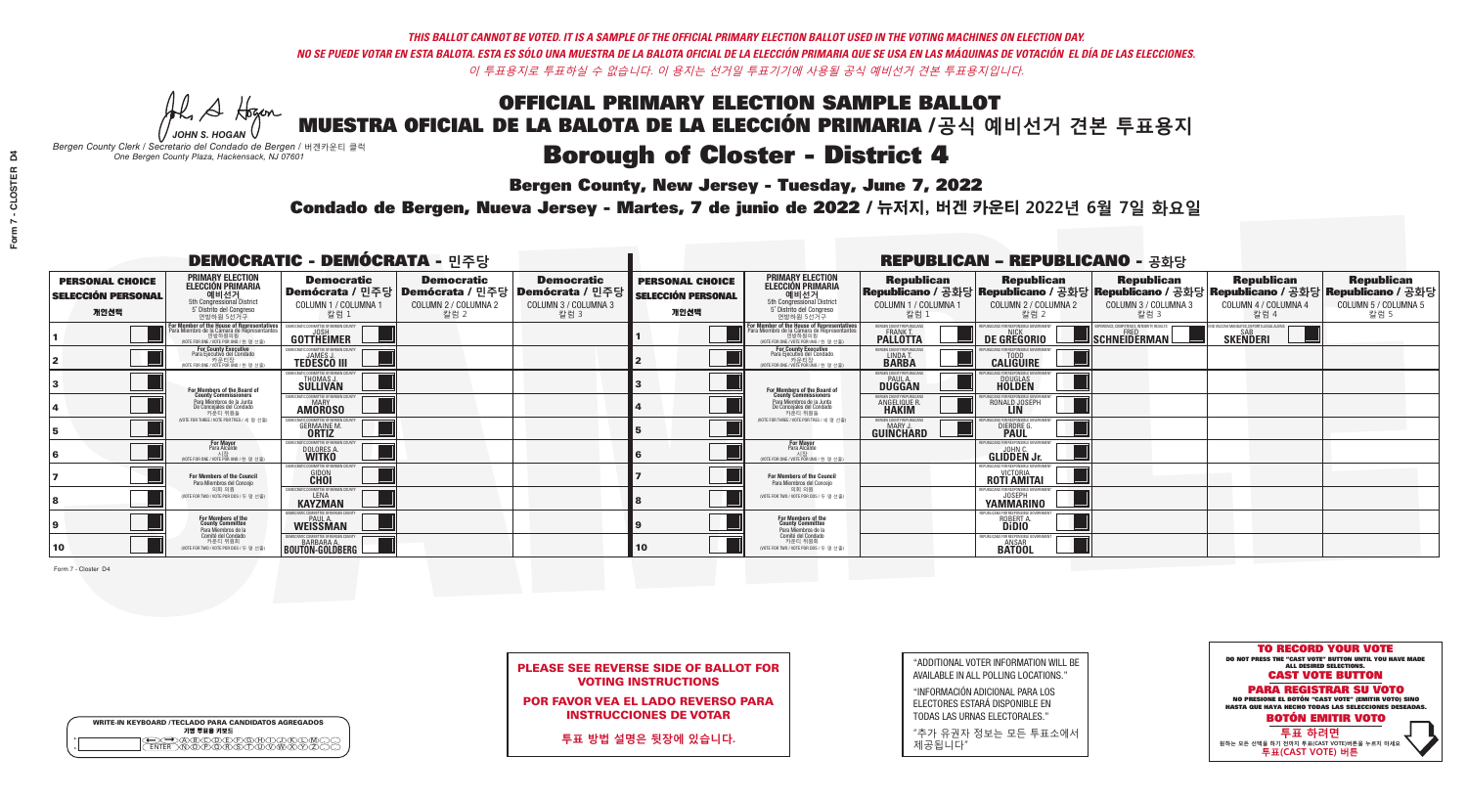**Bergen County, New Jersey - Tuesday, June 7, 2022** 

A Hogan *JOHN S. HOGAN*

| <b>WRITE-IN KEYBOARD /TECLADO PARA CANDIDATOS AGREGADOS</b><br>기명 투표용 키보드 |
|---------------------------------------------------------------------------|
| <b>ARCAMEARAHY</b>                                                        |

*Bergen County Clerk / Secretario del Condado de Bergen /* 버겐카운티 클럭 *One Bergen County Plaza, Hackensack, NJ 07601*



| <b>PLEASE SEE REVERSE SIDE OF BALLOT FOR</b> |
|----------------------------------------------|
| <b>VOTING INSTRUCTIONS</b>                   |

POR FAVOR VEA EL LADO REVERSO PARA INSTRUCCIONES DE VOTAR

**투표 방법 설명은 뒷장에 있습니다.**

| "ADDITIONAL VOTER INFORMATION WILL BE |
|---------------------------------------|
| AVAILABLE IN ALL POLLING LOCATIONS."  |

"INFORMACIÓN ADICIONAL PARA LOS ELECTORES ESTARÁ DISPONIBLE EN TODAS LAS URNAS ELECTORALES."

"추가 유권자 정보는 모든 투표소에서 제공됩니다"

Condado de Bergen, Nueva Jersey - Martes, 7 de junio de 2022 / 뉴저지, 버겐 카운티 2022년 6월 7일 화요일 *One Bergen County Plaza, Hackensack, NJ 07601*

| <b>DEMOCRATIC - DEMÓCRATA - 민주당</b>                         |                                                                                                                                                     |                                                                        |                                                   |                                                                                                        | <b>REPUBLICAN - REPUBLICANO - 공화당</b>                       |                                                                                                                                                  |                                                            |                                                                                                                                                |                                                   |                                                   |                                                   |
|-------------------------------------------------------------|-----------------------------------------------------------------------------------------------------------------------------------------------------|------------------------------------------------------------------------|---------------------------------------------------|--------------------------------------------------------------------------------------------------------|-------------------------------------------------------------|--------------------------------------------------------------------------------------------------------------------------------------------------|------------------------------------------------------------|------------------------------------------------------------------------------------------------------------------------------------------------|---------------------------------------------------|---------------------------------------------------|---------------------------------------------------|
| <b>PERSONAL CHOICE</b><br><b>SELECCIÓN PERSONAL</b><br>개인선택 | <b>PRIMARY ELECTION</b><br><b>ELECCIÓN PRIMARIA</b><br>예비선거<br>5th Congressional District<br>5° Distrito del Congreso<br>연방하원 5선거구                  | <b>Democratic</b><br>COLUMN 1 / COLUMNA 1<br>칼럼 1                      | <b>Democratic</b><br>COLUMN 2 / COLUMNA 2<br>칼럼 2 | <b>Democratic</b><br>│Demócrata / 민주당│Demócrata / 민주당│Demócrata / 민주당│<br>COLUMN 3 / COLUMNA 3<br>칼럼 3 | <b>PERSONAL CHOICE</b><br><b>SELECCIÓN PERSONAL</b><br>개인선택 | <b>PRIMARY ELECTION</b><br><b>ELECCIÓN PRIMARIA</b><br><u>. 예비선거</u><br>5th Congressional District<br>5° Distrito del Congreso<br>연방하원 5선거구      | <b>Republican</b><br>COLUMN 1 / COLUMNA 1<br>칼럼            | <b>Republican</b><br>Republicano / 공화당 Republicano / 공화당 Republicano / 공화당 Republicano / 공화당 Republicano / 공화당<br>COLUMN 2 / COLUMNA 2<br>칼럼 2 | <b>Republican</b><br>COLUMN 3 / COLUMNA 3<br>칼럼 3 | <b>Republican</b><br>COLUMN 4 / COLUMNA 4<br>칼럼 4 | <b>Republican</b><br>COLUMN 5 / COLUMNA 5<br>칼럼 5 |
|                                                             | <b>In Member of the House of Representatives<br/>Ira Miembro de la Cámara de Representantes</b><br>연방하원의원<br>(VOTE FOR ONE / VOTE POR UNO / 한 명 선출) | GOTTHEIMER                                                             |                                                   |                                                                                                        |                                                             | F <mark>or Member of the House of Representatives</mark><br>Para Miembro de la Cámara de Representantes<br>(VOTE FOR ONE / VOTE POR UNO / 한 명 선출 | ERGEN COUNTY REPUBLICANS<br><b>PALLOTTA</b>                | DE GREGORIO                                                                                                                                    | SCHNEIDERMAN                                      | <b>SKENDERI</b>                                   |                                                   |
|                                                             | For County Executive<br>Para Ejecutivo del Condado<br>7 카운티장<br>(VOTE FOR ONE / VOTE POR UNO / 한 명 선출)                                              | JEMOCRATIC COMMITTEE OF BERGEN COUNTY<br><b>TEDESCO III</b>            |                                                   |                                                                                                        |                                                             | <b>For County Executive</b><br>Para Ejecutivo del Condado<br>│ 카운티장<br>(VOTE FOR ONE / VOTE POR UNO / 한 명 선출)                                    | BERGEN COUNTY REPUBLICAN<br>LINDA T.                       | <b>CALIGUIRE</b>                                                                                                                               |                                                   |                                                   |                                                   |
|                                                             | For Members of the Board of<br>County Commissioners                                                                                                 | MOCRATIC COMMITTEE OF BERGEN COUNT<br><b>SULLIVAN</b>                  |                                                   |                                                                                                        |                                                             | For Members of the Board of<br>County Commissioners                                                                                              | ERGEN COUNTY REPUBLICAN<br><b>PAUL A.</b><br><b>DUGGAN</b> | <b>DOUGLAS</b>                                                                                                                                 |                                                   |                                                   |                                                   |
|                                                             | Para Miembros de la Junta<br>De Concejales del Condado<br>카우티 위원들                                                                                   | <b>OCRATIC COMMITTEE OF BERGEN COUNT</b><br><b>AMOROSO</b>             |                                                   |                                                                                                        |                                                             | Para Miembros de la Junta<br>De Concejales del Condado<br>카운티 위원들                                                                                | <b>ERGEN COUNTY REPUBLICAN</b><br>ANGELIQUE R              | RONALD JOSEPH                                                                                                                                  |                                                   |                                                   |                                                   |
|                                                             | NOTE FOR THREE / VOTE POR TRES / 세 명 선출)                                                                                                            | RATIC COMMITTEE OF RERGEN COLIN<br><b>GERMAINE M.</b><br><b>ORTIZ</b>  |                                                   |                                                                                                        |                                                             | (VOTE FOR THREE / VOTE POR TRES / 세 명 선출)                                                                                                        | ERGEN COUNTY REPUBLICANS<br><b>GUINCHARD</b>               | ICANS FOR RESPONSIBLE O<br>DIERDRE G.                                                                                                          |                                                   |                                                   |                                                   |
|                                                             | <b>For Mayor</b><br>Para Alcalde<br>NOTE FOR ONE / VOTE POR UNO / 한명                                                                                | DOLORES A                                                              |                                                   |                                                                                                        |                                                             | For Mayor<br>Para Alcalde<br>VOTE FOR ONE / VOTE POR UNO / 한 명 선출                                                                                |                                                            | <b>GLIDDEN Jr.</b>                                                                                                                             |                                                   |                                                   |                                                   |
|                                                             | <b>For Members of the Council</b><br>Para Miembros del Conceio                                                                                      | 10CRATIC COMMITTEE OF BERGEN COUNT<br><b>GIDON</b>                     |                                                   |                                                                                                        |                                                             | <b>For Members of the Council</b><br>Para Miembros del Conceio                                                                                   |                                                            | EPUBLICANS FOR RESPONSIBLE GOVERNMENT<br><b>ROTI AMITAL</b>                                                                                    |                                                   |                                                   |                                                   |
|                                                             | 의회 의원<br>(VOTE FOR TWO / VOTE POR DOS / 두 명 선출)                                                                                                     | EMOCRATIC COMMITTEE OF BERGEN COUNTY<br><b>KAYZMAN</b>                 |                                                   |                                                                                                        |                                                             | 의회 의원<br>NOTE FOR TWO / VOTE POR DOS / 두 명 선출)                                                                                                   |                                                            | <b>IEPUBLICANS FOR RESPONSIBLE GOVERNMEN</b><br><b>YAMMARINO</b>                                                                               |                                                   |                                                   |                                                   |
|                                                             | For Members of the<br>County Committee<br>Para Miembros de la                                                                                       | MOCRATIC COMMITTEE OF BERGEN COUNT<br><b>PAUL A</b><br><b>WEISSMAN</b> |                                                   |                                                                                                        |                                                             | For Members of the<br>County Committee<br>Para Miembros de la<br>Comité del Condado                                                              |                                                            | PUBLICANS FOR RESPONSIBLE GOVERNMEN<br>ROBERT A.                                                                                               |                                                   |                                                   |                                                   |
| 10                                                          | Comité del Condado<br>카운티 위원회<br>(VOTE FOR TWO / VOTE POR DOS / 두 명 선출)                                                                             | EMOCRATIC COMMITTEE OF BERGEN COUNTY<br><b>BOUTON-GOLDBERG</b>         |                                                   |                                                                                                        | 10                                                          | 카운티 위원회<br>(VOTE FOR TWO / VOTE POR DOS / 두 명 선출)                                                                                                |                                                            | EPUBLICANS FOR RESPONSIBLE GOVERNMENT<br><b>ANSAR</b><br><b>BATOOI</b>                                                                         |                                                   |                                                   |                                                   |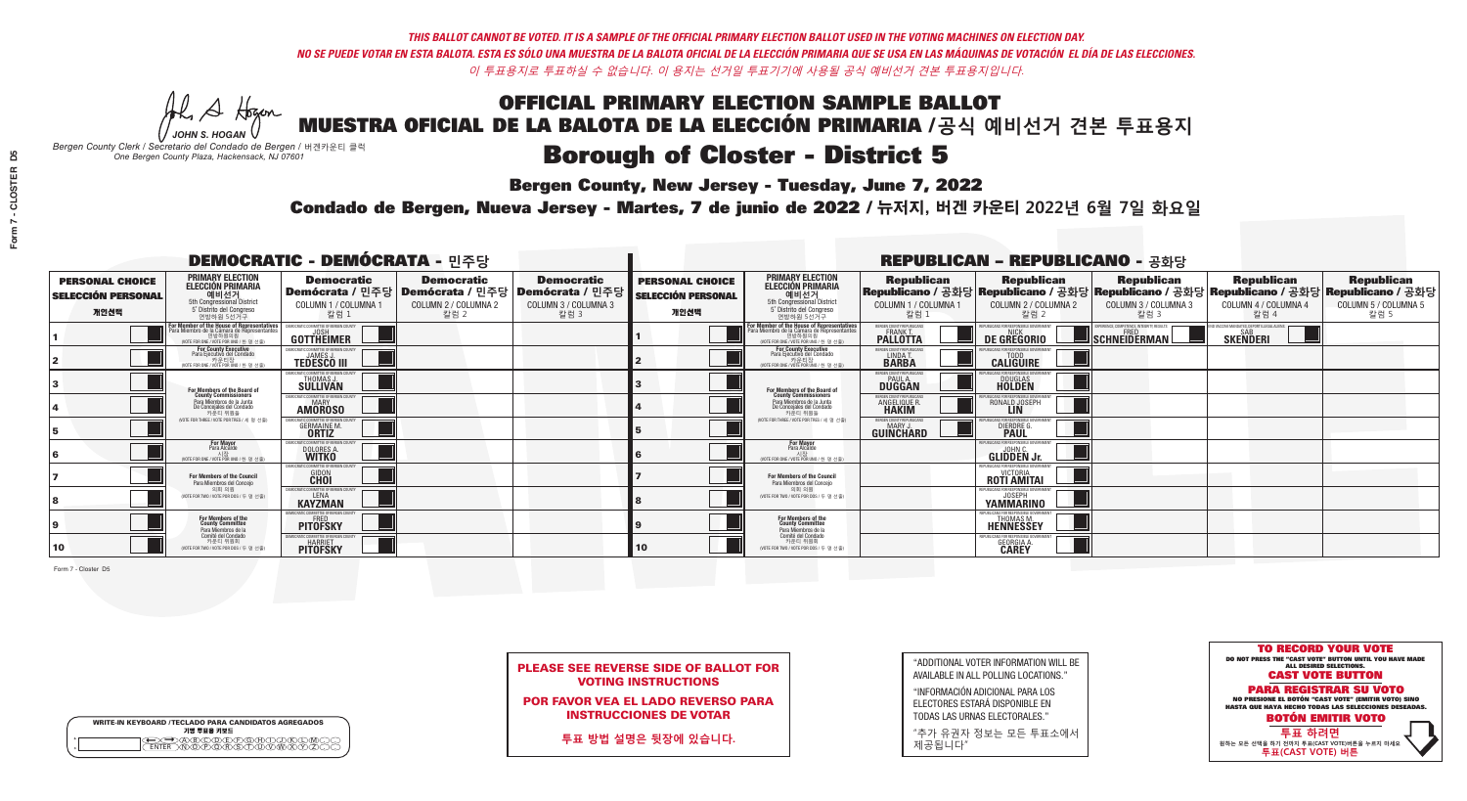**Bergen County, New Jersey - Tuesday, June 7, 2022** 

A Hogan *JOHN S. HOGAN*

| <b>WRITE-IN KEYBOARD /TECLADO PARA CANDIDATOS AGREGADOS</b><br>기명 투표용 키보드 |  |
|---------------------------------------------------------------------------|--|
|                                                                           |  |

*Bergen County Clerk / Secretario del Condado de Bergen /* 버겐카운티 클럭 *One Bergen County Plaza, Hackensack, NJ 07601*



PLEASE SEE REVERSE SIDE OF BALLOT FOR VOTING INSTRUCTIONS

POR FAVOR VEA EL LADO REVERSO PARA INSTRUCCIONES DE VOTAR

**투표 방법 설명은 뒷장에 있습니다.**

| "ADDITIONAL VOTER INFORMATION WILL BE |
|---------------------------------------|
| AVAILABLE IN ALL POLLING LOCATIONS."  |

"INFORMACIÓN ADICIONAL PARA LOS ELECTORES ESTARÁ DISPONIBLE EN TODAS LAS URNAS ELECTORALES."

"추가 유권자 정보는 모든 투표소에서 제공됩니다"

Condado de Bergen, Nueva Jersey - Martes, 7 de junio de 2022 / 뉴저지, 버겐 카운티 2022년 6월 7일 화요일 *One Bergen County Plaza, Hackensack, NJ 07601*

| <b>DEMOCRATIC - DEMÓCRATA - 민주당</b>                         |                                                                                                                                         |                                                                                   |                                                   |                                                                                                        | <b>REPUBLICAN - REPUBLICANO - 공화당</b>                       |                                                                                                                                   |                                                             |                                                                                                                                                |                                                                                                  |                                                               |                                                   |
|-------------------------------------------------------------|-----------------------------------------------------------------------------------------------------------------------------------------|-----------------------------------------------------------------------------------|---------------------------------------------------|--------------------------------------------------------------------------------------------------------|-------------------------------------------------------------|-----------------------------------------------------------------------------------------------------------------------------------|-------------------------------------------------------------|------------------------------------------------------------------------------------------------------------------------------------------------|--------------------------------------------------------------------------------------------------|---------------------------------------------------------------|---------------------------------------------------|
| <b>PERSONAL CHOICE</b><br><b>SELECCIÓN PERSONAL</b><br>개인선택 | <b>PRIMARY ELECTION</b><br>ELECCIÓN PRIMARIA<br>예비선거<br><sub>5th Congressional District</sub><br>5° Distrito del Congreso<br>연방하원 5선거구  | <b>Democratic</b><br>COLUMN 1 / COLUMNA 1<br>칼럼 1                                 | <b>Democratic</b><br>COLUMN 2 / COLUMNA 2<br>칼럼 2 | <b>Democratic</b><br>│Demócrata / 민주당│Demócrata / 민주당│Demócrata / 민주당│<br>COLUMN 3 / COLUMNA 3<br>칼럼 3 | <b>PERSONAL CHOICE</b><br><b>SELECCIÓN PERSONAL</b><br>개인선택 | <b>PRIMARY ELECTION</b><br>ELECCIÓN PRIMARIA<br>5th Congressional District<br>5° Distrito del Congreso<br>연방하원 5선거구               | <b>Republican</b><br>COLUMN 1 / COLUMNA 1<br>칼럼 :           | <b>Republican</b><br>Republicano / 공화당 Republicano / 공화당 Republicano / 공화당 Republicano / 공화당 Republicano / 공화당<br>COLUMN 2 / COLUMNA 2<br>칼럼 2 | <b>Republican</b><br>COLUMN 3 / COLUMNA 3<br>칼럼 3                                                | <b>Republican</b><br>COLUMN 4 / COLUMNA 4<br>칼럼 4             | <b>Republican</b><br>COLUMN 5 / COLUMNA 5<br>칼럼 5 |
|                                                             | or Member of the House of Representatives<br>a Miembro de la Cámara de Representant<br>연방하원의원<br>(VOTE FOR ONE / VOTE POR UNO / 한 명 선출) | DEMOCRATIC COMMITTEE OF BERGEN COUNTY<br>GOTTHEIMER                               |                                                   |                                                                                                        |                                                             | For Member of the House of Representatives<br>Para Miembro de la Cámara de Representantes<br>WOTE FOR ONE / VOTE POR UNO / 한 명 선출 | ERGEN COUNTY REPUBLICANS<br><b>PALLOTTA</b>                 | DE GREGORIO                                                                                                                                    | EXPERIENCE, COMPETENCE, INTEGRITY, RESULTS<br>$\blacksquare$ Schneiderman $\mathbin{\downarrow}$ | D VACCINE MANDATES, DEPORT ILLEGAL ALIENS.<br><b>SKENDERI</b> |                                                   |
|                                                             | For County Executive<br>Para Ejecutivo del Condado<br>7) 카운티장<br>(VOTE FOR ONE / VOTE POR UNO / 한 명 선출)                                 | JEMOCRATIC COMMITTEE OF BERGEN COUNTY<br><b>TEDESCO III</b>                       |                                                   |                                                                                                        |                                                             | For County Executive<br>Para Ejecutivo del Condado<br>.<br>7 카운티장<br>(VOTE FOR ONE / VOTE POR UNO / 한 명 선출                        | BERGEN COUNTY REPUBLICANS<br>LINDA T.                       | <b>CALIGUIRE</b>                                                                                                                               |                                                                                                  |                                                               |                                                   |
|                                                             | For Members of the Board of<br>County Commissioners                                                                                     | <b>EMOCRATIC COMMITTEE OF BERGEN COUNT</b><br><b>THOMAS J.</b><br><b>SULLIVAN</b> |                                                   |                                                                                                        |                                                             | For Members of the Board of<br>County Commissioners                                                                               | BERGEN COUNTY REPUBLICAN<br><b>PAUL A.</b><br><b>DUGGAN</b> | <b>DOUGLAS</b><br><b>HOLDEN</b>                                                                                                                |                                                                                                  |                                                               |                                                   |
|                                                             | Para Miembros de la Junta<br>De Concejales del Condado<br>카우티 위원들                                                                       | <b>IOCRATIC COMMITTEE OF BEBGEN COUNT</b><br><b>AMOROSO</b>                       |                                                   |                                                                                                        |                                                             | Para Miembros de la Junta<br>De Concejales del Condado<br>카운티 위원들                                                                 | ERGEN COUNTY REPUBLICAN<br><b>ANGELIQUE R<br/>HAKIM</b>     | RONALD JOSEPH<br><b>LIN</b>                                                                                                                    |                                                                                                  |                                                               |                                                   |
|                                                             | NOTE FOR THREE / VOTE POR TRES / 세 명 선출)                                                                                                | <b>GERMAINE M.</b><br><b>ORTIZ</b>                                                |                                                   |                                                                                                        |                                                             | NOTE FOR THREE / VOTE POR TRES / 세 명 선출                                                                                           | ERGEN COUNTY REPUBLICANS<br>GUIÑCHARD                       | <b>DIERDREL</b>                                                                                                                                |                                                                                                  |                                                               |                                                   |
|                                                             | For Mayor<br>Para Alcalde<br>NOTE FOR ONE / VOTE POR UNO / 한 명                                                                          | 10CRATIC COMMITTEE OF BERGEN CO<br>DOLORES A                                      |                                                   |                                                                                                        |                                                             | For Mayor<br>Para Alcalde<br>NOTE FOR ONE / VOTE POR UNO / 한 명 선출                                                                 |                                                             | PURLICANS FOR RESPONSIBLE G<br><b>GLIDDEN Jr.</b>                                                                                              |                                                                                                  |                                                               |                                                   |
|                                                             | For Members of the Council<br>Para Miembros del Conceio                                                                                 | MOCRATIC COMMITTEE OF BERGEN COUNTY<br><b>GIDON</b>                               |                                                   |                                                                                                        |                                                             | <b>For Members of the Council</b><br>Para Miembros del Concejo                                                                    |                                                             | PUBLICANS FOR RESPONSIBLE GOVERNMENT<br><b>ROTI AMITAL</b>                                                                                     |                                                                                                  |                                                               |                                                   |
|                                                             | 의회 의원<br>(VOTE FOR TWO / VOTE POR DOS / 두 명 선출)                                                                                         | <b>EMOCRATIC COMMITTEE OF BERGEN COUNTY</b><br><b>KAYZMAN</b>                     |                                                   |                                                                                                        |                                                             | 의회 의원<br>WOTE FOR TWO / VOTE POR DOS / 두 명 선출)                                                                                    |                                                             | PURLICANS FOR RESPONSIBLE GOVERNMEN<br><b>JOSEPH</b><br><b>YAMMARINO</b>                                                                       |                                                                                                  |                                                               |                                                   |
|                                                             | For Members of the<br>County Committee<br>Para Miembros de la                                                                           | IOCRATIC COMMITTEE OF BERGEN COUNT<br><b>PITOFSKY</b>                             |                                                   |                                                                                                        |                                                             | For Members of the<br>County Committee<br>Para Miembros de la<br>Comité del Condado                                               |                                                             | PUBLICANS FOR RESPONSIBLE GOVERNMEN<br><b>THOMAS M.</b><br><b>HENNESSEY</b>                                                                    |                                                                                                  |                                                               |                                                   |
| 10                                                          | Comité del Condado<br>카운티 위원회<br>(VOTE FOR TWO / VOTE POR DOS / 두 명 선출)                                                                 | <b>EMOCRATIC COMMITTEE OF BEBGEN COUNT</b><br>PITÖFSKY                            |                                                   |                                                                                                        | 10                                                          | 카운티 위원회<br>(VOTE FOR TWO / VOTE POR DOS / 두 명 선출)                                                                                 |                                                             | PUBLICANS FOR RESPONSIBLE GOVERNMEN<br><b>GEORGIA A.</b>                                                                                       |                                                                                                  |                                                               |                                                   |